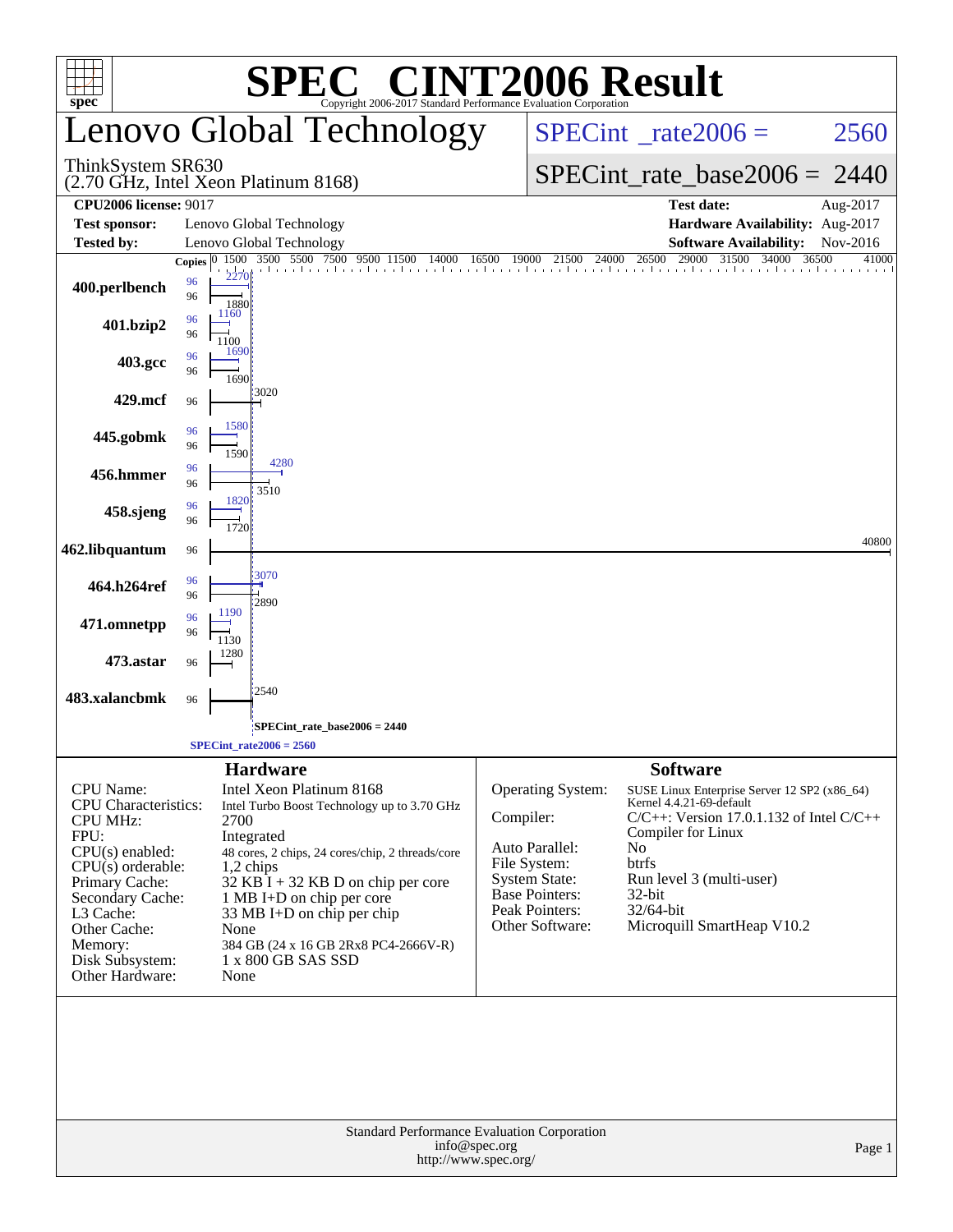| <b>C® CINT2006 Result</b><br>SPE<br>Copyright 2006-2017 Standard Performance Evaluation Corporation                                                                                                                                        |                                                                                                                                                                                                                                                                                                                                                                              |                                                                                      |                                                                                                                                                 |                                                                                                                                                                                                                                                                    |                |  |  |  |  |  |
|--------------------------------------------------------------------------------------------------------------------------------------------------------------------------------------------------------------------------------------------|------------------------------------------------------------------------------------------------------------------------------------------------------------------------------------------------------------------------------------------------------------------------------------------------------------------------------------------------------------------------------|--------------------------------------------------------------------------------------|-------------------------------------------------------------------------------------------------------------------------------------------------|--------------------------------------------------------------------------------------------------------------------------------------------------------------------------------------------------------------------------------------------------------------------|----------------|--|--|--|--|--|
| $spec^*$                                                                                                                                                                                                                                   | enovo Global Technology                                                                                                                                                                                                                                                                                                                                                      |                                                                                      | $SPECint^{\circ}$ <sub>_rate2006</sub> =                                                                                                        | 2560                                                                                                                                                                                                                                                               |                |  |  |  |  |  |
| ThinkSystem SR630                                                                                                                                                                                                                          | (2.70 GHz, Intel Xeon Platinum 8168)                                                                                                                                                                                                                                                                                                                                         |                                                                                      | $SPECint_rate_base2006 = 2440$                                                                                                                  |                                                                                                                                                                                                                                                                    |                |  |  |  |  |  |
| <b>CPU2006 license: 9017</b>                                                                                                                                                                                                               |                                                                                                                                                                                                                                                                                                                                                                              |                                                                                      |                                                                                                                                                 | <b>Test date:</b>                                                                                                                                                                                                                                                  | Aug-2017       |  |  |  |  |  |
| <b>Test sponsor:</b><br>Tested by:                                                                                                                                                                                                         | Lenovo Global Technology<br>Lenovo Global Technology                                                                                                                                                                                                                                                                                                                         |                                                                                      |                                                                                                                                                 | Hardware Availability: Aug-2017<br><b>Software Availability:</b>                                                                                                                                                                                                   | Nov-2016       |  |  |  |  |  |
|                                                                                                                                                                                                                                            | 1500 3500 5500 7500 9500 11500<br>Copies $ 0\rangle$                                                                                                                                                                                                                                                                                                                         | 14000<br>16500                                                                       | 19000 21500<br>24000                                                                                                                            | 29000 31500 34000<br>26500                                                                                                                                                                                                                                         | 36500<br>41000 |  |  |  |  |  |
| 400.perlbench                                                                                                                                                                                                                              | 2270<br>96<br>96<br>1880                                                                                                                                                                                                                                                                                                                                                     |                                                                                      |                                                                                                                                                 |                                                                                                                                                                                                                                                                    |                |  |  |  |  |  |
| 401.bzip2                                                                                                                                                                                                                                  | 1160<br>96<br>96<br>1100                                                                                                                                                                                                                                                                                                                                                     |                                                                                      |                                                                                                                                                 |                                                                                                                                                                                                                                                                    |                |  |  |  |  |  |
| 403.gcc                                                                                                                                                                                                                                    | 1690<br>96<br>96<br>1690                                                                                                                                                                                                                                                                                                                                                     |                                                                                      |                                                                                                                                                 |                                                                                                                                                                                                                                                                    |                |  |  |  |  |  |
| 429.mcf                                                                                                                                                                                                                                    | 3020<br>96                                                                                                                                                                                                                                                                                                                                                                   |                                                                                      |                                                                                                                                                 |                                                                                                                                                                                                                                                                    |                |  |  |  |  |  |
| 445.gobmk                                                                                                                                                                                                                                  | 1580<br>96<br>96<br>1590                                                                                                                                                                                                                                                                                                                                                     |                                                                                      |                                                                                                                                                 |                                                                                                                                                                                                                                                                    |                |  |  |  |  |  |
| 456.hmmer                                                                                                                                                                                                                                  | 4280<br>96<br>96                                                                                                                                                                                                                                                                                                                                                             |                                                                                      |                                                                                                                                                 |                                                                                                                                                                                                                                                                    |                |  |  |  |  |  |
| 458.sjeng                                                                                                                                                                                                                                  | 3510<br>1820<br>96<br>96<br>1720                                                                                                                                                                                                                                                                                                                                             |                                                                                      |                                                                                                                                                 |                                                                                                                                                                                                                                                                    |                |  |  |  |  |  |
| 462.libquantum                                                                                                                                                                                                                             | 96                                                                                                                                                                                                                                                                                                                                                                           |                                                                                      |                                                                                                                                                 |                                                                                                                                                                                                                                                                    | 40800          |  |  |  |  |  |
| 464.h264ref                                                                                                                                                                                                                                | 3070<br>96<br>96<br>2890                                                                                                                                                                                                                                                                                                                                                     |                                                                                      |                                                                                                                                                 |                                                                                                                                                                                                                                                                    |                |  |  |  |  |  |
| 471.omnetpp                                                                                                                                                                                                                                | 1190<br>96<br>96<br>1130                                                                                                                                                                                                                                                                                                                                                     |                                                                                      |                                                                                                                                                 |                                                                                                                                                                                                                                                                    |                |  |  |  |  |  |
| 473.astar                                                                                                                                                                                                                                  | 1280<br>96                                                                                                                                                                                                                                                                                                                                                                   |                                                                                      |                                                                                                                                                 |                                                                                                                                                                                                                                                                    |                |  |  |  |  |  |
| 483.xalancbmk                                                                                                                                                                                                                              | 2540<br>96                                                                                                                                                                                                                                                                                                                                                                   |                                                                                      |                                                                                                                                                 |                                                                                                                                                                                                                                                                    |                |  |  |  |  |  |
|                                                                                                                                                                                                                                            | SPECint_rate_base2006 = 2440;                                                                                                                                                                                                                                                                                                                                                |                                                                                      |                                                                                                                                                 |                                                                                                                                                                                                                                                                    |                |  |  |  |  |  |
|                                                                                                                                                                                                                                            | $SPECint_rate2006 = 2560$                                                                                                                                                                                                                                                                                                                                                    |                                                                                      |                                                                                                                                                 |                                                                                                                                                                                                                                                                    |                |  |  |  |  |  |
| <b>CPU</b> Name:<br><b>CPU</b> Characteristics:<br><b>CPU MHz:</b><br>FPU:<br>$CPU(s)$ enabled:<br>$CPU(s)$ orderable:<br>Primary Cache:<br>Secondary Cache:<br>L3 Cache:<br>Other Cache:<br>Memory:<br>Disk Subsystem:<br>Other Hardware: | <b>Hardware</b><br>Intel Xeon Platinum 8168<br>Intel Turbo Boost Technology up to 3.70 GHz<br>2700<br>Integrated<br>48 cores, 2 chips, 24 cores/chip, 2 threads/core<br>$1,2$ chips<br>$32$ KB $\bar{I}$ + 32 KB D on chip per core<br>1 MB I+D on chip per core<br>33 MB I+D on chip per chip<br>None<br>384 GB (24 x 16 GB 2Rx8 PC4-2666V-R)<br>1 x 800 GB SAS SSD<br>None |                                                                                      | Operating System:<br>Compiler:<br>Auto Parallel:<br>File System:<br><b>System State:</b><br>Base Pointers:<br>Peak Pointers:<br>Other Software: | <b>Software</b><br>SUSE Linux Enterprise Server 12 SP2 (x86_64)<br>Kernel 4.4.21-69-default<br>$C/C++$ : Version 17.0.1.132 of Intel $C/C++$<br>Compiler for Linux<br>No<br>btrfs<br>Run level 3 (multi-user)<br>32-bit<br>32/64-bit<br>Microquill SmartHeap V10.2 |                |  |  |  |  |  |
|                                                                                                                                                                                                                                            |                                                                                                                                                                                                                                                                                                                                                                              | Standard Performance Evaluation Corporation<br>info@spec.org<br>http://www.spec.org/ |                                                                                                                                                 |                                                                                                                                                                                                                                                                    | Page 1         |  |  |  |  |  |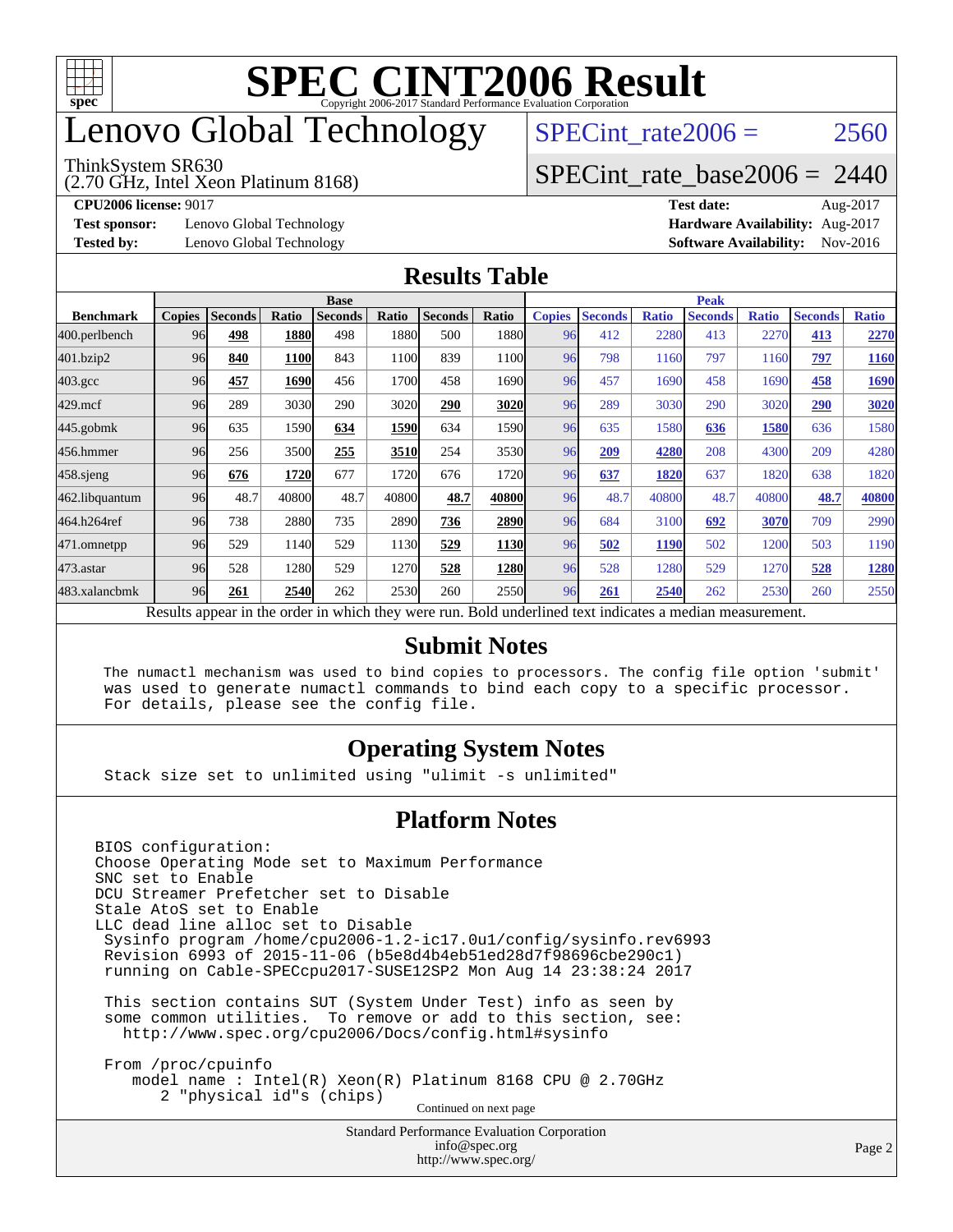

# enovo Global Technology

#### ThinkSystem SR630

(2.70 GHz, Intel Xeon Platinum 8168)

SPECint rate $2006 = 2560$ 

#### [SPECint\\_rate\\_base2006 =](http://www.spec.org/auto/cpu2006/Docs/result-fields.html#SPECintratebase2006) 2440

**[Test sponsor:](http://www.spec.org/auto/cpu2006/Docs/result-fields.html#Testsponsor)** Lenovo Global Technology **[Hardware Availability:](http://www.spec.org/auto/cpu2006/Docs/result-fields.html#HardwareAvailability)** Aug-2017

**[CPU2006 license:](http://www.spec.org/auto/cpu2006/Docs/result-fields.html#CPU2006license)** 9017 **[Test date:](http://www.spec.org/auto/cpu2006/Docs/result-fields.html#Testdate)** Aug-2017 **[Tested by:](http://www.spec.org/auto/cpu2006/Docs/result-fields.html#Testedby)** Lenovo Global Technology **[Software Availability:](http://www.spec.org/auto/cpu2006/Docs/result-fields.html#SoftwareAvailability)** Nov-2016

#### **[Results Table](http://www.spec.org/auto/cpu2006/Docs/result-fields.html#ResultsTable)**

|                                                                                                          | <b>Base</b>   |                |       |                |       |                | <b>Peak</b> |               |                |              |                |              |                |              |
|----------------------------------------------------------------------------------------------------------|---------------|----------------|-------|----------------|-------|----------------|-------------|---------------|----------------|--------------|----------------|--------------|----------------|--------------|
| <b>Benchmark</b>                                                                                         | <b>Copies</b> | <b>Seconds</b> | Ratio | <b>Seconds</b> | Ratio | <b>Seconds</b> | Ratio       | <b>Copies</b> | <b>Seconds</b> | <b>Ratio</b> | <b>Seconds</b> | <b>Ratio</b> | <b>Seconds</b> | <b>Ratio</b> |
| 400.perlbench                                                                                            | 96            | 498            | 1880  | 498            | 1880  | 500            | 1880        | 96            | 412            | 2280         | 413            | 2270         | 413            | 2270         |
| 401.bzip2                                                                                                | 96            | 840            | 1100  | 843            | 1100  | 839            | 1100        | 96            | 798            | 1160         | 797            | 1160         | 797            | 1160         |
| $403.\mathrm{gcc}$                                                                                       | 96            | 457            | 1690  | 456            | 1700  | 458            | 1690        | 96            | 457            | 1690         | 458            | 1690         | 458            | 1690         |
| $429$ .mcf                                                                                               | 96            | 289            | 3030  | 290            | 3020  | 290            | 3020        | 96            | 289            | 3030         | 290            | 3020         | 290            | 3020         |
| $445$ .gobmk                                                                                             | 96            | 635            | 1590  | 634            | 1590  | 634            | 1590        | 96            | 635            | 1580         | 636            | 1580         | 636            | 1580         |
| 456.hmmer                                                                                                | 96            | 256            | 3500  | 255            | 3510  | 254            | 3530        | 96            | 209            | 4280         | 208            | 4300         | 209            | 4280         |
| $458$ sjeng                                                                                              | 96            | 676            | 1720  | 677            | 1720  | 676            | 1720        | 96            | 637            | 1820         | 637            | 1820         | 638            | 1820         |
| 462.libquantum                                                                                           | 96            | 48.7           | 40800 | 48.7           | 40800 | 48.7           | 40800       | 96            | 48.7           | 40800        | 48.7           | 40800        | 48.7           | 40800        |
| 464.h264ref                                                                                              | 96            | 738            | 2880  | 735            | 2890  | 736            | 2890        | 96            | 684            | 3100         | 692            | 3070         | 709            | 2990         |
| 471.omnetpp                                                                                              | 96            | 529            | 1140  | 529            | 1130  | 529            | 1130        | 96            | 502            | <b>1190</b>  | 502            | 1200         | 503            | 1190         |
| $473.$ astar                                                                                             | 96            | 528            | 1280  | 529            | 1270  | 528            | 1280        | 96            | 528            | 1280         | 529            | 1270         | 528            | 1280         |
| 483.xalancbmk                                                                                            | 96            | 261            | 2540  | 262            | 2530  | 260            | 2550        | 96            | 261            | 2540         | 262            | 2530         | 260            | 2550         |
| Results appear in the order in which they were run. Bold underlined text indicates a median measurement. |               |                |       |                |       |                |             |               |                |              |                |              |                |              |

#### **[Submit Notes](http://www.spec.org/auto/cpu2006/Docs/result-fields.html#SubmitNotes)**

 The numactl mechanism was used to bind copies to processors. The config file option 'submit' was used to generate numactl commands to bind each copy to a specific processor. For details, please see the config file.

#### **[Operating System Notes](http://www.spec.org/auto/cpu2006/Docs/result-fields.html#OperatingSystemNotes)**

Stack size set to unlimited using "ulimit -s unlimited"

#### **[Platform Notes](http://www.spec.org/auto/cpu2006/Docs/result-fields.html#PlatformNotes)**

Standard Performance Evaluation Corporation [info@spec.org](mailto:info@spec.org) <http://www.spec.org/> BIOS configuration: Choose Operating Mode set to Maximum Performance SNC set to Enable DCU Streamer Prefetcher set to Disable Stale AtoS set to Enable LLC dead line alloc set to Disable Sysinfo program /home/cpu2006-1.2-ic17.0u1/config/sysinfo.rev6993 Revision 6993 of 2015-11-06 (b5e8d4b4eb51ed28d7f98696cbe290c1) running on Cable-SPECcpu2017-SUSE12SP2 Mon Aug 14 23:38:24 2017 This section contains SUT (System Under Test) info as seen by some common utilities. To remove or add to this section, see: <http://www.spec.org/cpu2006/Docs/config.html#sysinfo> From /proc/cpuinfo model name : Intel(R) Xeon(R) Platinum 8168 CPU @ 2.70GHz 2 "physical id"s (chips) Continued on next page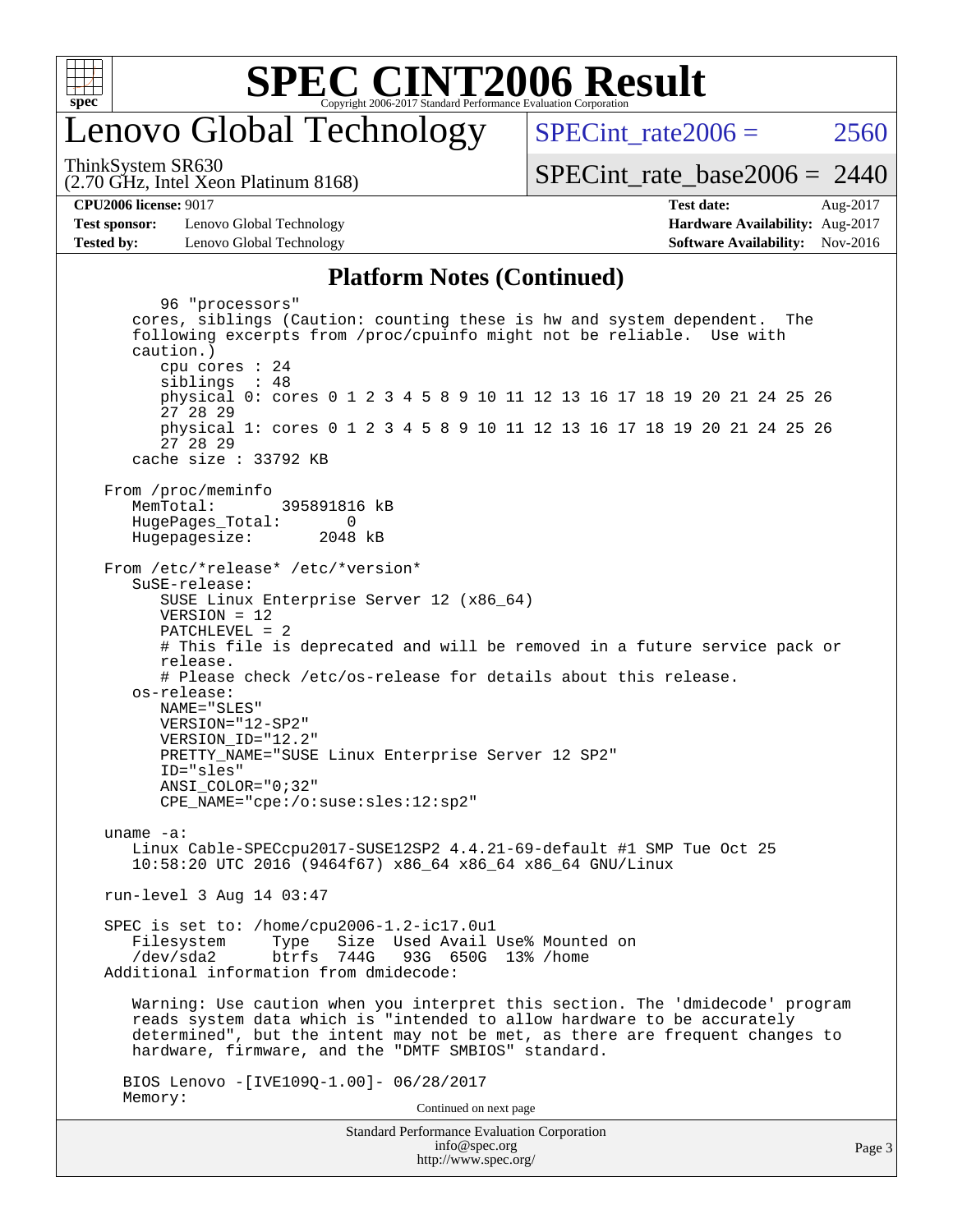

## enovo Global Technology

SPECint rate $2006 = 2560$ 

(2.70 GHz, Intel Xeon Platinum 8168) ThinkSystem SR630

[SPECint\\_rate\\_base2006 =](http://www.spec.org/auto/cpu2006/Docs/result-fields.html#SPECintratebase2006) 2440

**[CPU2006 license:](http://www.spec.org/auto/cpu2006/Docs/result-fields.html#CPU2006license)** 9017 **[Test date:](http://www.spec.org/auto/cpu2006/Docs/result-fields.html#Testdate)** Aug-2017

**[Test sponsor:](http://www.spec.org/auto/cpu2006/Docs/result-fields.html#Testsponsor)** Lenovo Global Technology **[Hardware Availability:](http://www.spec.org/auto/cpu2006/Docs/result-fields.html#HardwareAvailability)** Aug-2017 **[Tested by:](http://www.spec.org/auto/cpu2006/Docs/result-fields.html#Testedby)** Lenovo Global Technology **[Software Availability:](http://www.spec.org/auto/cpu2006/Docs/result-fields.html#SoftwareAvailability)** Nov-2016

### **[Platform Notes \(Continued\)](http://www.spec.org/auto/cpu2006/Docs/result-fields.html#PlatformNotes)**

Standard Performance Evaluation Corporation 96 "processors" cores, siblings (Caution: counting these is hw and system dependent. The following excerpts from /proc/cpuinfo might not be reliable. Use with caution.) cpu cores : 24 siblings : 48 physical 0: cores 0 1 2 3 4 5 8 9 10 11 12 13 16 17 18 19 20 21 24 25 26 27 28 29 physical 1: cores 0 1 2 3 4 5 8 9 10 11 12 13 16 17 18 19 20 21 24 25 26 27 28 29 cache size : 33792 KB From /proc/meminfo MemTotal: 395891816 kB HugePages\_Total: 0<br>Hugepagesize: 2048 kB Hugepagesize: From /etc/\*release\* /etc/\*version\* SuSE-release: SUSE Linux Enterprise Server 12 (x86\_64) VERSION = 12 PATCHLEVEL = 2 # This file is deprecated and will be removed in a future service pack or release. # Please check /etc/os-release for details about this release. os-release: NAME="SLES" VERSION="12-SP2" VERSION\_ID="12.2" PRETTY\_NAME="SUSE Linux Enterprise Server 12 SP2" ID="sles" ANSI\_COLOR="0;32" CPE\_NAME="cpe:/o:suse:sles:12:sp2" uname -a: Linux Cable-SPECcpu2017-SUSE12SP2 4.4.21-69-default #1 SMP Tue Oct 25 10:58:20 UTC 2016 (9464f67) x86\_64 x86\_64 x86\_64 GNU/Linux run-level 3 Aug 14 03:47 SPEC is set to: /home/cpu2006-1.2-ic17.0u1 Filesystem Type Size Used-Avail-Use%-Mounted-on-<br>  $\sqrt{\text{dev/s}}$ da2 btrfs 744G 93G 650G 13%-/home btrfs 744G 93G 650G 13% / home Additional information from dmidecode: Warning: Use caution when you interpret this section. The 'dmidecode' program reads system data which is "intended to allow hardware to be accurately determined", but the intent may not be met, as there are frequent changes to hardware, firmware, and the "DMTF SMBIOS" standard. BIOS Lenovo -[IVE109Q-1.00]- 06/28/2017 Memory: Continued on next page

[info@spec.org](mailto:info@spec.org) <http://www.spec.org/>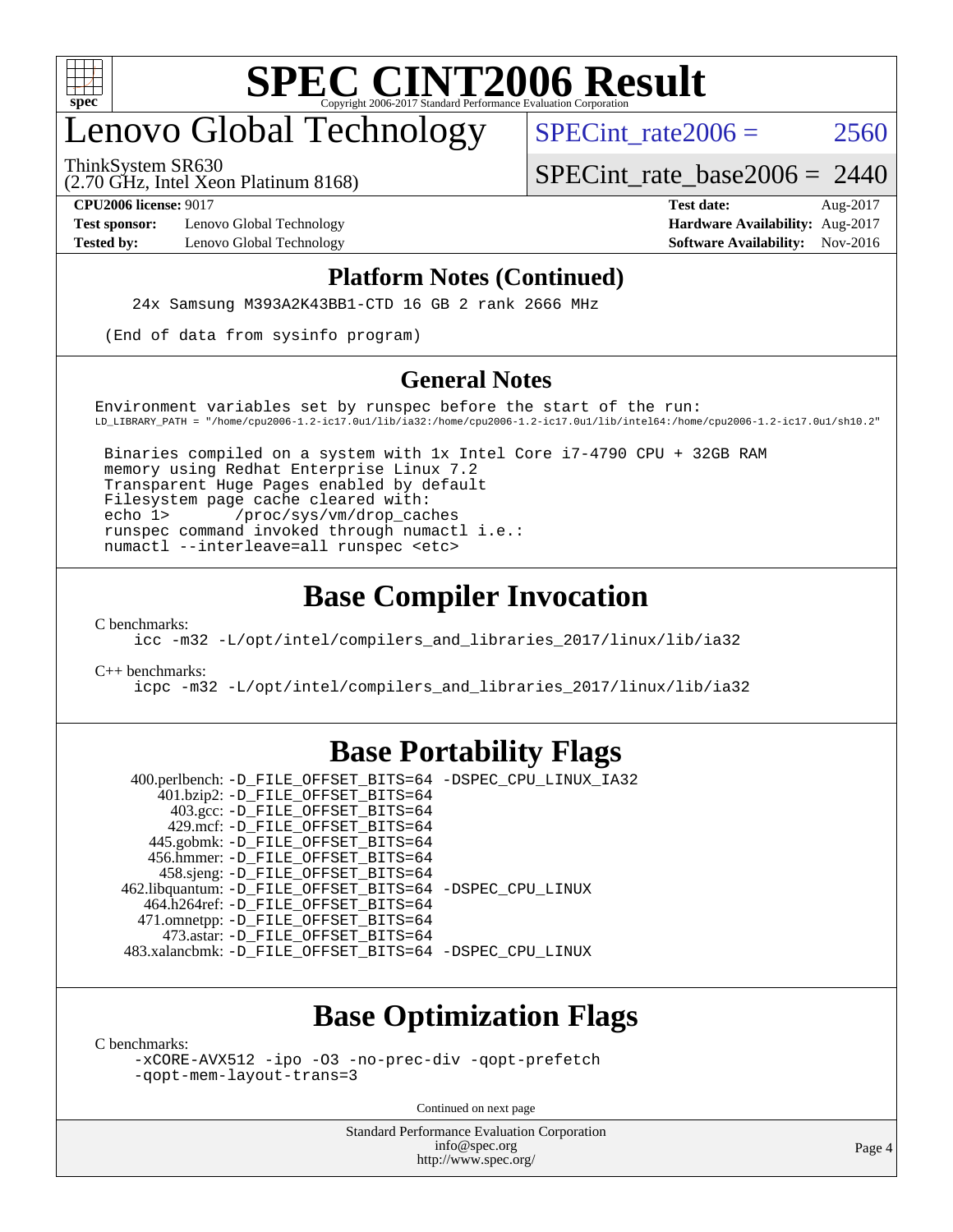

# enovo Global Technology

(2.70 GHz, Intel Xeon Platinum 8168) ThinkSystem SR630

SPECint rate  $2006 = 2560$ 

[SPECint\\_rate\\_base2006 =](http://www.spec.org/auto/cpu2006/Docs/result-fields.html#SPECintratebase2006) 2440

**[Test sponsor:](http://www.spec.org/auto/cpu2006/Docs/result-fields.html#Testsponsor)** Lenovo Global Technology **[Hardware Availability:](http://www.spec.org/auto/cpu2006/Docs/result-fields.html#HardwareAvailability)** Aug-2017

**[CPU2006 license:](http://www.spec.org/auto/cpu2006/Docs/result-fields.html#CPU2006license)** 9017 **[Test date:](http://www.spec.org/auto/cpu2006/Docs/result-fields.html#Testdate)** Aug-2017 **[Tested by:](http://www.spec.org/auto/cpu2006/Docs/result-fields.html#Testedby)** Lenovo Global Technology **[Software Availability:](http://www.spec.org/auto/cpu2006/Docs/result-fields.html#SoftwareAvailability)** Nov-2016

#### **[Platform Notes \(Continued\)](http://www.spec.org/auto/cpu2006/Docs/result-fields.html#PlatformNotes)**

24x Samsung M393A2K43BB1-CTD 16 GB 2 rank 2666 MHz

(End of data from sysinfo program)

#### **[General Notes](http://www.spec.org/auto/cpu2006/Docs/result-fields.html#GeneralNotes)**

Environment variables set by runspec before the start of the run: LD\_LIBRARY\_PATH = "/home/cpu2006-1.2-ic17.0u1/lib/ia32:/home/cpu2006-1.2-ic17.0u1/lib/intel64:/home/cpu2006-1.2-ic17.0u1/sh10.2"

 Binaries compiled on a system with 1x Intel Core i7-4790 CPU + 32GB RAM memory using Redhat Enterprise Linux 7.2 Transparent Huge Pages enabled by default Filesystem page cache cleared with: echo 1> /proc/sys/vm/drop\_caches runspec command invoked through numactl i.e.: numactl --interleave=all runspec <etc>

#### **[Base Compiler Invocation](http://www.spec.org/auto/cpu2006/Docs/result-fields.html#BaseCompilerInvocation)**

[C benchmarks](http://www.spec.org/auto/cpu2006/Docs/result-fields.html#Cbenchmarks):

[icc -m32 -L/opt/intel/compilers\\_and\\_libraries\\_2017/linux/lib/ia32](http://www.spec.org/cpu2006/results/res2017q4/cpu2006-20170918-49578.flags.html#user_CCbase_intel_icc_c29f3ff5a7ed067b11e4ec10a03f03ae)

[C++ benchmarks:](http://www.spec.org/auto/cpu2006/Docs/result-fields.html#CXXbenchmarks)

[icpc -m32 -L/opt/intel/compilers\\_and\\_libraries\\_2017/linux/lib/ia32](http://www.spec.org/cpu2006/results/res2017q4/cpu2006-20170918-49578.flags.html#user_CXXbase_intel_icpc_8c35c7808b62dab9ae41a1aa06361b6b)

#### **[Base Portability Flags](http://www.spec.org/auto/cpu2006/Docs/result-fields.html#BasePortabilityFlags)**

 400.perlbench: [-D\\_FILE\\_OFFSET\\_BITS=64](http://www.spec.org/cpu2006/results/res2017q4/cpu2006-20170918-49578.flags.html#user_basePORTABILITY400_perlbench_file_offset_bits_64_438cf9856305ebd76870a2c6dc2689ab) [-DSPEC\\_CPU\\_LINUX\\_IA32](http://www.spec.org/cpu2006/results/res2017q4/cpu2006-20170918-49578.flags.html#b400.perlbench_baseCPORTABILITY_DSPEC_CPU_LINUX_IA32) 401.bzip2: [-D\\_FILE\\_OFFSET\\_BITS=64](http://www.spec.org/cpu2006/results/res2017q4/cpu2006-20170918-49578.flags.html#user_basePORTABILITY401_bzip2_file_offset_bits_64_438cf9856305ebd76870a2c6dc2689ab) 403.gcc: [-D\\_FILE\\_OFFSET\\_BITS=64](http://www.spec.org/cpu2006/results/res2017q4/cpu2006-20170918-49578.flags.html#user_basePORTABILITY403_gcc_file_offset_bits_64_438cf9856305ebd76870a2c6dc2689ab) 429.mcf: [-D\\_FILE\\_OFFSET\\_BITS=64](http://www.spec.org/cpu2006/results/res2017q4/cpu2006-20170918-49578.flags.html#user_basePORTABILITY429_mcf_file_offset_bits_64_438cf9856305ebd76870a2c6dc2689ab) 445.gobmk: [-D\\_FILE\\_OFFSET\\_BITS=64](http://www.spec.org/cpu2006/results/res2017q4/cpu2006-20170918-49578.flags.html#user_basePORTABILITY445_gobmk_file_offset_bits_64_438cf9856305ebd76870a2c6dc2689ab) 456.hmmer: [-D\\_FILE\\_OFFSET\\_BITS=64](http://www.spec.org/cpu2006/results/res2017q4/cpu2006-20170918-49578.flags.html#user_basePORTABILITY456_hmmer_file_offset_bits_64_438cf9856305ebd76870a2c6dc2689ab) 458.sjeng: [-D\\_FILE\\_OFFSET\\_BITS=64](http://www.spec.org/cpu2006/results/res2017q4/cpu2006-20170918-49578.flags.html#user_basePORTABILITY458_sjeng_file_offset_bits_64_438cf9856305ebd76870a2c6dc2689ab) 462.libquantum: [-D\\_FILE\\_OFFSET\\_BITS=64](http://www.spec.org/cpu2006/results/res2017q4/cpu2006-20170918-49578.flags.html#user_basePORTABILITY462_libquantum_file_offset_bits_64_438cf9856305ebd76870a2c6dc2689ab) [-DSPEC\\_CPU\\_LINUX](http://www.spec.org/cpu2006/results/res2017q4/cpu2006-20170918-49578.flags.html#b462.libquantum_baseCPORTABILITY_DSPEC_CPU_LINUX) 464.h264ref: [-D\\_FILE\\_OFFSET\\_BITS=64](http://www.spec.org/cpu2006/results/res2017q4/cpu2006-20170918-49578.flags.html#user_basePORTABILITY464_h264ref_file_offset_bits_64_438cf9856305ebd76870a2c6dc2689ab) 471.omnetpp: [-D\\_FILE\\_OFFSET\\_BITS=64](http://www.spec.org/cpu2006/results/res2017q4/cpu2006-20170918-49578.flags.html#user_basePORTABILITY471_omnetpp_file_offset_bits_64_438cf9856305ebd76870a2c6dc2689ab) 473.astar: [-D\\_FILE\\_OFFSET\\_BITS=64](http://www.spec.org/cpu2006/results/res2017q4/cpu2006-20170918-49578.flags.html#user_basePORTABILITY473_astar_file_offset_bits_64_438cf9856305ebd76870a2c6dc2689ab) 483.xalancbmk: [-D\\_FILE\\_OFFSET\\_BITS=64](http://www.spec.org/cpu2006/results/res2017q4/cpu2006-20170918-49578.flags.html#user_basePORTABILITY483_xalancbmk_file_offset_bits_64_438cf9856305ebd76870a2c6dc2689ab) [-DSPEC\\_CPU\\_LINUX](http://www.spec.org/cpu2006/results/res2017q4/cpu2006-20170918-49578.flags.html#b483.xalancbmk_baseCXXPORTABILITY_DSPEC_CPU_LINUX)

### **[Base Optimization Flags](http://www.spec.org/auto/cpu2006/Docs/result-fields.html#BaseOptimizationFlags)**

[C benchmarks](http://www.spec.org/auto/cpu2006/Docs/result-fields.html#Cbenchmarks):

[-xCORE-AVX512](http://www.spec.org/cpu2006/results/res2017q4/cpu2006-20170918-49578.flags.html#user_CCbase_f-xCORE-AVX512) [-ipo](http://www.spec.org/cpu2006/results/res2017q4/cpu2006-20170918-49578.flags.html#user_CCbase_f-ipo) [-O3](http://www.spec.org/cpu2006/results/res2017q4/cpu2006-20170918-49578.flags.html#user_CCbase_f-O3) [-no-prec-div](http://www.spec.org/cpu2006/results/res2017q4/cpu2006-20170918-49578.flags.html#user_CCbase_f-no-prec-div) [-qopt-prefetch](http://www.spec.org/cpu2006/results/res2017q4/cpu2006-20170918-49578.flags.html#user_CCbase_f-qopt-prefetch) [-qopt-mem-layout-trans=3](http://www.spec.org/cpu2006/results/res2017q4/cpu2006-20170918-49578.flags.html#user_CCbase_f-qopt-mem-layout-trans_170f5be61cd2cedc9b54468c59262d5d)

Continued on next page

Standard Performance Evaluation Corporation [info@spec.org](mailto:info@spec.org) <http://www.spec.org/>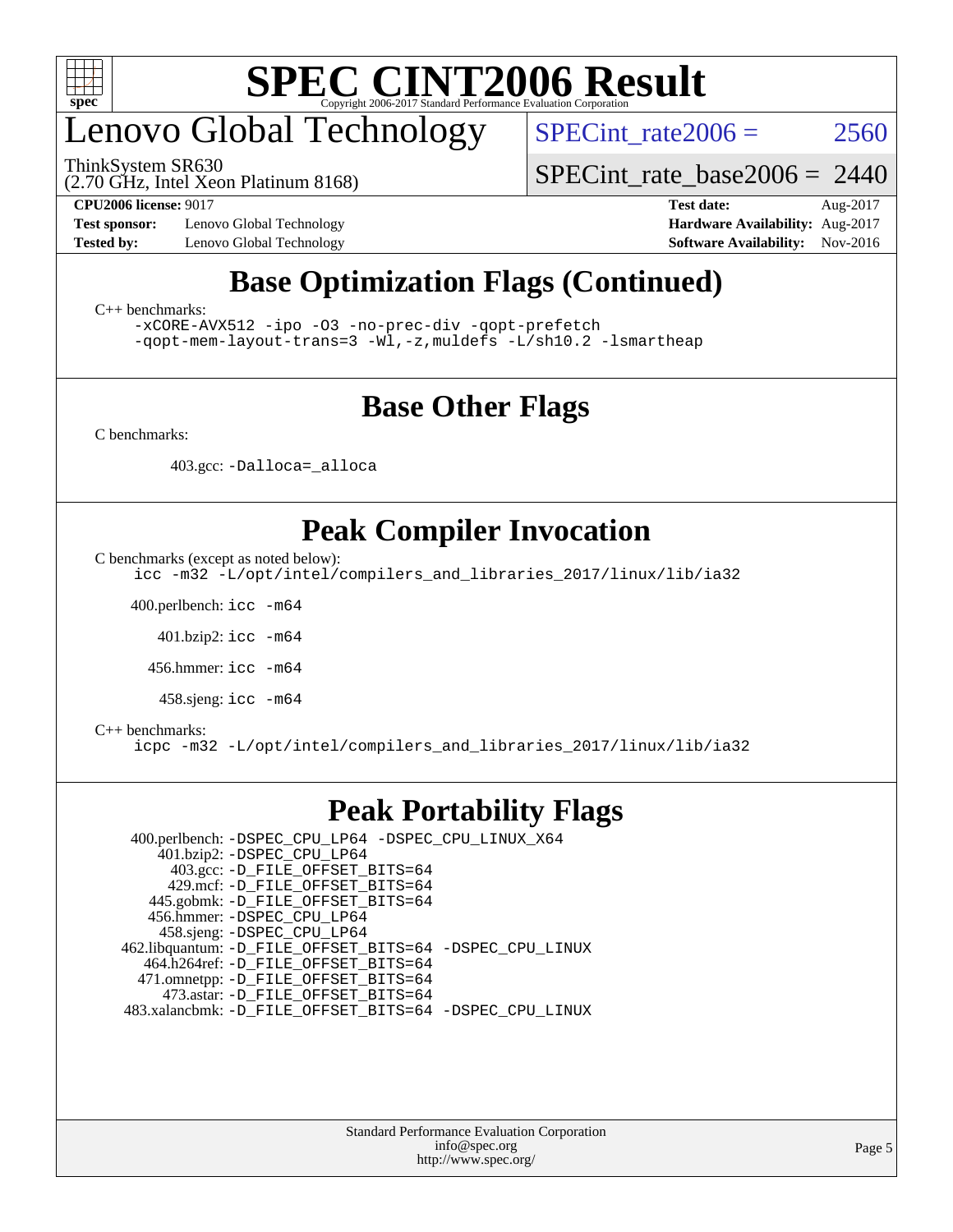

# enovo Global Technology

ThinkSystem SR630

SPECint rate $2006 = 2560$ 

(2.70 GHz, Intel Xeon Platinum 8168)

**[Test sponsor:](http://www.spec.org/auto/cpu2006/Docs/result-fields.html#Testsponsor)** Lenovo Global Technology **[Hardware Availability:](http://www.spec.org/auto/cpu2006/Docs/result-fields.html#HardwareAvailability)** Aug-2017

[SPECint\\_rate\\_base2006 =](http://www.spec.org/auto/cpu2006/Docs/result-fields.html#SPECintratebase2006) 2440

**[CPU2006 license:](http://www.spec.org/auto/cpu2006/Docs/result-fields.html#CPU2006license)** 9017 **[Test date:](http://www.spec.org/auto/cpu2006/Docs/result-fields.html#Testdate)** Aug-2017 **[Tested by:](http://www.spec.org/auto/cpu2006/Docs/result-fields.html#Testedby)** Lenovo Global Technology **[Software Availability:](http://www.spec.org/auto/cpu2006/Docs/result-fields.html#SoftwareAvailability)** Nov-2016

### **[Base Optimization Flags \(Continued\)](http://www.spec.org/auto/cpu2006/Docs/result-fields.html#BaseOptimizationFlags)**

[C++ benchmarks:](http://www.spec.org/auto/cpu2006/Docs/result-fields.html#CXXbenchmarks)

[-xCORE-AVX512](http://www.spec.org/cpu2006/results/res2017q4/cpu2006-20170918-49578.flags.html#user_CXXbase_f-xCORE-AVX512) [-ipo](http://www.spec.org/cpu2006/results/res2017q4/cpu2006-20170918-49578.flags.html#user_CXXbase_f-ipo) [-O3](http://www.spec.org/cpu2006/results/res2017q4/cpu2006-20170918-49578.flags.html#user_CXXbase_f-O3) [-no-prec-div](http://www.spec.org/cpu2006/results/res2017q4/cpu2006-20170918-49578.flags.html#user_CXXbase_f-no-prec-div) [-qopt-prefetch](http://www.spec.org/cpu2006/results/res2017q4/cpu2006-20170918-49578.flags.html#user_CXXbase_f-qopt-prefetch) [-qopt-mem-layout-trans=3](http://www.spec.org/cpu2006/results/res2017q4/cpu2006-20170918-49578.flags.html#user_CXXbase_f-qopt-mem-layout-trans_170f5be61cd2cedc9b54468c59262d5d) [-Wl,-z,muldefs](http://www.spec.org/cpu2006/results/res2017q4/cpu2006-20170918-49578.flags.html#user_CXXbase_link_force_multiple1_74079c344b956b9658436fd1b6dd3a8a) [-L/sh10.2 -lsmartheap](http://www.spec.org/cpu2006/results/res2017q4/cpu2006-20170918-49578.flags.html#user_CXXbase_SmartHeap_b831f2d313e2fffa6dfe3f00ffc1f1c0)

### **[Base Other Flags](http://www.spec.org/auto/cpu2006/Docs/result-fields.html#BaseOtherFlags)**

[C benchmarks](http://www.spec.org/auto/cpu2006/Docs/result-fields.html#Cbenchmarks):

403.gcc: [-Dalloca=\\_alloca](http://www.spec.org/cpu2006/results/res2017q4/cpu2006-20170918-49578.flags.html#b403.gcc_baseEXTRA_CFLAGS_Dalloca_be3056838c12de2578596ca5467af7f3)

### **[Peak Compiler Invocation](http://www.spec.org/auto/cpu2006/Docs/result-fields.html#PeakCompilerInvocation)**

[C benchmarks \(except as noted below\)](http://www.spec.org/auto/cpu2006/Docs/result-fields.html#Cbenchmarksexceptasnotedbelow):

[icc -m32 -L/opt/intel/compilers\\_and\\_libraries\\_2017/linux/lib/ia32](http://www.spec.org/cpu2006/results/res2017q4/cpu2006-20170918-49578.flags.html#user_CCpeak_intel_icc_c29f3ff5a7ed067b11e4ec10a03f03ae)

400.perlbench: [icc -m64](http://www.spec.org/cpu2006/results/res2017q4/cpu2006-20170918-49578.flags.html#user_peakCCLD400_perlbench_intel_icc_64bit_bda6cc9af1fdbb0edc3795bac97ada53)

401.bzip2: [icc -m64](http://www.spec.org/cpu2006/results/res2017q4/cpu2006-20170918-49578.flags.html#user_peakCCLD401_bzip2_intel_icc_64bit_bda6cc9af1fdbb0edc3795bac97ada53)

456.hmmer: [icc -m64](http://www.spec.org/cpu2006/results/res2017q4/cpu2006-20170918-49578.flags.html#user_peakCCLD456_hmmer_intel_icc_64bit_bda6cc9af1fdbb0edc3795bac97ada53)

458.sjeng: [icc -m64](http://www.spec.org/cpu2006/results/res2017q4/cpu2006-20170918-49578.flags.html#user_peakCCLD458_sjeng_intel_icc_64bit_bda6cc9af1fdbb0edc3795bac97ada53)

#### [C++ benchmarks:](http://www.spec.org/auto/cpu2006/Docs/result-fields.html#CXXbenchmarks)

[icpc -m32 -L/opt/intel/compilers\\_and\\_libraries\\_2017/linux/lib/ia32](http://www.spec.org/cpu2006/results/res2017q4/cpu2006-20170918-49578.flags.html#user_CXXpeak_intel_icpc_8c35c7808b62dab9ae41a1aa06361b6b)

#### **[Peak Portability Flags](http://www.spec.org/auto/cpu2006/Docs/result-fields.html#PeakPortabilityFlags)**

 400.perlbench: [-DSPEC\\_CPU\\_LP64](http://www.spec.org/cpu2006/results/res2017q4/cpu2006-20170918-49578.flags.html#b400.perlbench_peakCPORTABILITY_DSPEC_CPU_LP64) [-DSPEC\\_CPU\\_LINUX\\_X64](http://www.spec.org/cpu2006/results/res2017q4/cpu2006-20170918-49578.flags.html#b400.perlbench_peakCPORTABILITY_DSPEC_CPU_LINUX_X64) 401.bzip2: [-DSPEC\\_CPU\\_LP64](http://www.spec.org/cpu2006/results/res2017q4/cpu2006-20170918-49578.flags.html#suite_peakCPORTABILITY401_bzip2_DSPEC_CPU_LP64) 403.gcc: [-D\\_FILE\\_OFFSET\\_BITS=64](http://www.spec.org/cpu2006/results/res2017q4/cpu2006-20170918-49578.flags.html#user_peakPORTABILITY403_gcc_file_offset_bits_64_438cf9856305ebd76870a2c6dc2689ab) 429.mcf: [-D\\_FILE\\_OFFSET\\_BITS=64](http://www.spec.org/cpu2006/results/res2017q4/cpu2006-20170918-49578.flags.html#user_peakPORTABILITY429_mcf_file_offset_bits_64_438cf9856305ebd76870a2c6dc2689ab) 445.gobmk: [-D\\_FILE\\_OFFSET\\_BITS=64](http://www.spec.org/cpu2006/results/res2017q4/cpu2006-20170918-49578.flags.html#user_peakPORTABILITY445_gobmk_file_offset_bits_64_438cf9856305ebd76870a2c6dc2689ab) 456.hmmer: [-DSPEC\\_CPU\\_LP64](http://www.spec.org/cpu2006/results/res2017q4/cpu2006-20170918-49578.flags.html#suite_peakCPORTABILITY456_hmmer_DSPEC_CPU_LP64) 458.sjeng: [-DSPEC\\_CPU\\_LP64](http://www.spec.org/cpu2006/results/res2017q4/cpu2006-20170918-49578.flags.html#suite_peakCPORTABILITY458_sjeng_DSPEC_CPU_LP64) 462.libquantum: [-D\\_FILE\\_OFFSET\\_BITS=64](http://www.spec.org/cpu2006/results/res2017q4/cpu2006-20170918-49578.flags.html#user_peakPORTABILITY462_libquantum_file_offset_bits_64_438cf9856305ebd76870a2c6dc2689ab) [-DSPEC\\_CPU\\_LINUX](http://www.spec.org/cpu2006/results/res2017q4/cpu2006-20170918-49578.flags.html#b462.libquantum_peakCPORTABILITY_DSPEC_CPU_LINUX) 464.h264ref: [-D\\_FILE\\_OFFSET\\_BITS=64](http://www.spec.org/cpu2006/results/res2017q4/cpu2006-20170918-49578.flags.html#user_peakPORTABILITY464_h264ref_file_offset_bits_64_438cf9856305ebd76870a2c6dc2689ab) 471.omnetpp: [-D\\_FILE\\_OFFSET\\_BITS=64](http://www.spec.org/cpu2006/results/res2017q4/cpu2006-20170918-49578.flags.html#user_peakPORTABILITY471_omnetpp_file_offset_bits_64_438cf9856305ebd76870a2c6dc2689ab) 473.astar: [-D\\_FILE\\_OFFSET\\_BITS=64](http://www.spec.org/cpu2006/results/res2017q4/cpu2006-20170918-49578.flags.html#user_peakPORTABILITY473_astar_file_offset_bits_64_438cf9856305ebd76870a2c6dc2689ab) 483.xalancbmk: [-D\\_FILE\\_OFFSET\\_BITS=64](http://www.spec.org/cpu2006/results/res2017q4/cpu2006-20170918-49578.flags.html#user_peakPORTABILITY483_xalancbmk_file_offset_bits_64_438cf9856305ebd76870a2c6dc2689ab) [-DSPEC\\_CPU\\_LINUX](http://www.spec.org/cpu2006/results/res2017q4/cpu2006-20170918-49578.flags.html#b483.xalancbmk_peakCXXPORTABILITY_DSPEC_CPU_LINUX)

> Standard Performance Evaluation Corporation [info@spec.org](mailto:info@spec.org) <http://www.spec.org/>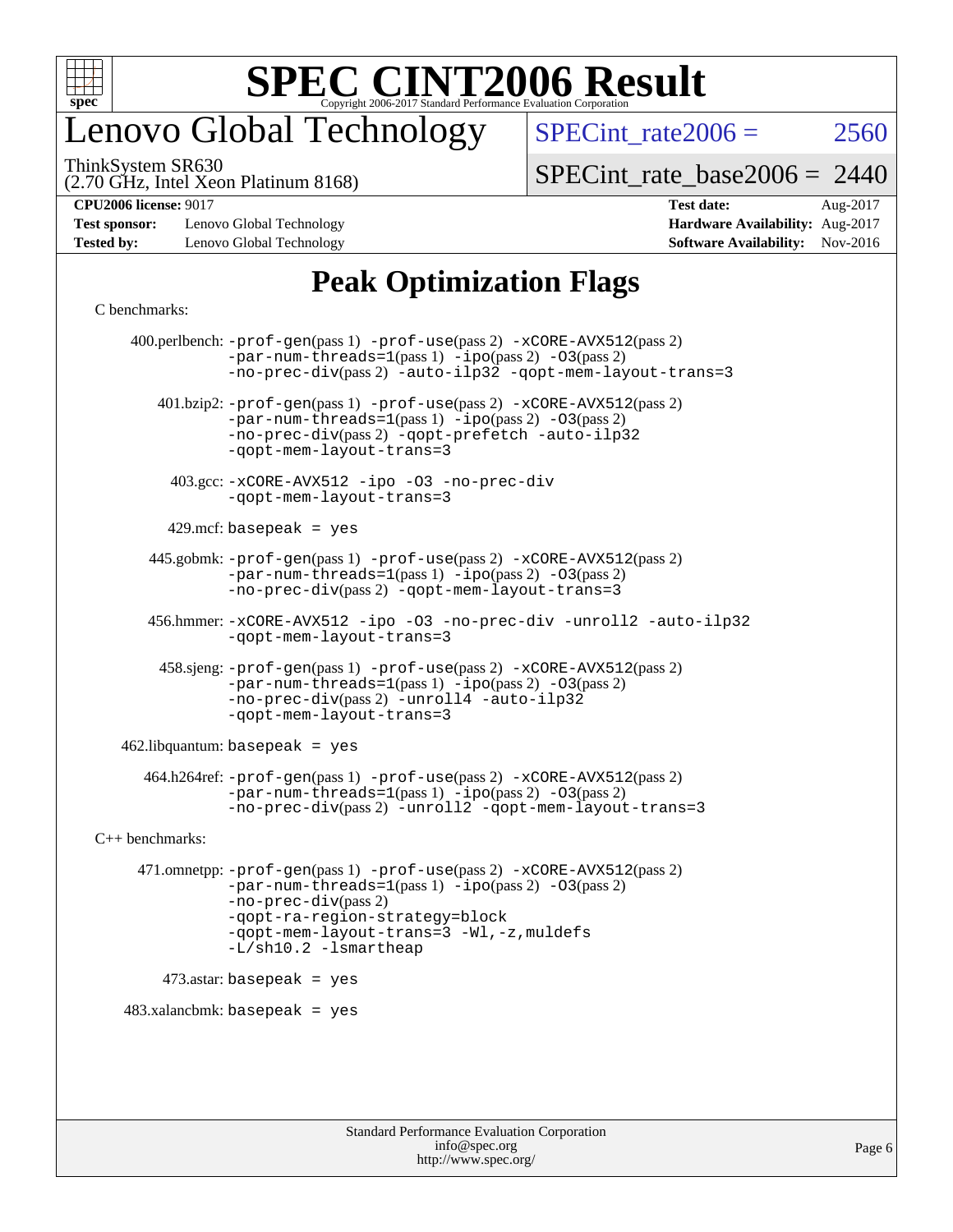

## enovo Global Technology

SPECint rate  $2006 = 2560$ 

ThinkSystem SR630

(2.70 GHz, Intel Xeon Platinum 8168)

[SPECint\\_rate\\_base2006 =](http://www.spec.org/auto/cpu2006/Docs/result-fields.html#SPECintratebase2006) 2440

**[Test sponsor:](http://www.spec.org/auto/cpu2006/Docs/result-fields.html#Testsponsor)** Lenovo Global Technology **[Hardware Availability:](http://www.spec.org/auto/cpu2006/Docs/result-fields.html#HardwareAvailability)** Aug-2017 **[Tested by:](http://www.spec.org/auto/cpu2006/Docs/result-fields.html#Testedby)** Lenovo Global Technology **[Software Availability:](http://www.spec.org/auto/cpu2006/Docs/result-fields.html#SoftwareAvailability)** Nov-2016

**[CPU2006 license:](http://www.spec.org/auto/cpu2006/Docs/result-fields.html#CPU2006license)** 9017 **[Test date:](http://www.spec.org/auto/cpu2006/Docs/result-fields.html#Testdate)** Aug-2017

### **[Peak Optimization Flags](http://www.spec.org/auto/cpu2006/Docs/result-fields.html#PeakOptimizationFlags)**

#### [C benchmarks](http://www.spec.org/auto/cpu2006/Docs/result-fields.html#Cbenchmarks):

 400.perlbench: [-prof-gen](http://www.spec.org/cpu2006/results/res2017q4/cpu2006-20170918-49578.flags.html#user_peakPASS1_CFLAGSPASS1_LDCFLAGS400_perlbench_prof_gen_e43856698f6ca7b7e442dfd80e94a8fc)(pass 1) [-prof-use](http://www.spec.org/cpu2006/results/res2017q4/cpu2006-20170918-49578.flags.html#user_peakPASS2_CFLAGSPASS2_LDCFLAGS400_perlbench_prof_use_bccf7792157ff70d64e32fe3e1250b55)(pass 2) [-xCORE-AVX512](http://www.spec.org/cpu2006/results/res2017q4/cpu2006-20170918-49578.flags.html#user_peakPASS2_CFLAGSPASS2_LDCFLAGS400_perlbench_f-xCORE-AVX512)(pass 2)  $-par-num-threads=1(pass 1) -ipo(pass 2) -O3(pass 2)$  $-par-num-threads=1(pass 1) -ipo(pass 2) -O3(pass 2)$  $-par-num-threads=1(pass 1) -ipo(pass 2) -O3(pass 2)$  $-par-num-threads=1(pass 1) -ipo(pass 2) -O3(pass 2)$  $-par-num-threads=1(pass 1) -ipo(pass 2) -O3(pass 2)$  $-par-num-threads=1(pass 1) -ipo(pass 2) -O3(pass 2)$ [-no-prec-div](http://www.spec.org/cpu2006/results/res2017q4/cpu2006-20170918-49578.flags.html#user_peakPASS2_CFLAGSPASS2_LDCFLAGS400_perlbench_f-no-prec-div)(pass 2) [-auto-ilp32](http://www.spec.org/cpu2006/results/res2017q4/cpu2006-20170918-49578.flags.html#user_peakCOPTIMIZE400_perlbench_f-auto-ilp32) [-qopt-mem-layout-trans=3](http://www.spec.org/cpu2006/results/res2017q4/cpu2006-20170918-49578.flags.html#user_peakCOPTIMIZE400_perlbench_f-qopt-mem-layout-trans_170f5be61cd2cedc9b54468c59262d5d) 401.bzip2: [-prof-gen](http://www.spec.org/cpu2006/results/res2017q4/cpu2006-20170918-49578.flags.html#user_peakPASS1_CFLAGSPASS1_LDCFLAGS401_bzip2_prof_gen_e43856698f6ca7b7e442dfd80e94a8fc)(pass 1) [-prof-use](http://www.spec.org/cpu2006/results/res2017q4/cpu2006-20170918-49578.flags.html#user_peakPASS2_CFLAGSPASS2_LDCFLAGS401_bzip2_prof_use_bccf7792157ff70d64e32fe3e1250b55)(pass 2) [-xCORE-AVX512](http://www.spec.org/cpu2006/results/res2017q4/cpu2006-20170918-49578.flags.html#user_peakPASS2_CFLAGSPASS2_LDCFLAGS401_bzip2_f-xCORE-AVX512)(pass 2) [-par-num-threads=1](http://www.spec.org/cpu2006/results/res2017q4/cpu2006-20170918-49578.flags.html#user_peakPASS1_CFLAGSPASS1_LDCFLAGS401_bzip2_par_num_threads_786a6ff141b4e9e90432e998842df6c2)(pass 1) [-ipo](http://www.spec.org/cpu2006/results/res2017q4/cpu2006-20170918-49578.flags.html#user_peakPASS2_CFLAGSPASS2_LDCFLAGS401_bzip2_f-ipo)(pass 2) [-O3](http://www.spec.org/cpu2006/results/res2017q4/cpu2006-20170918-49578.flags.html#user_peakPASS2_CFLAGSPASS2_LDCFLAGS401_bzip2_f-O3)(pass 2) [-no-prec-div](http://www.spec.org/cpu2006/results/res2017q4/cpu2006-20170918-49578.flags.html#user_peakPASS2_CFLAGSPASS2_LDCFLAGS401_bzip2_f-no-prec-div)(pass 2) [-qopt-prefetch](http://www.spec.org/cpu2006/results/res2017q4/cpu2006-20170918-49578.flags.html#user_peakCOPTIMIZE401_bzip2_f-qopt-prefetch) [-auto-ilp32](http://www.spec.org/cpu2006/results/res2017q4/cpu2006-20170918-49578.flags.html#user_peakCOPTIMIZE401_bzip2_f-auto-ilp32) [-qopt-mem-layout-trans=3](http://www.spec.org/cpu2006/results/res2017q4/cpu2006-20170918-49578.flags.html#user_peakCOPTIMIZE401_bzip2_f-qopt-mem-layout-trans_170f5be61cd2cedc9b54468c59262d5d) 403.gcc: [-xCORE-AVX512](http://www.spec.org/cpu2006/results/res2017q4/cpu2006-20170918-49578.flags.html#user_peakOPTIMIZE403_gcc_f-xCORE-AVX512) [-ipo](http://www.spec.org/cpu2006/results/res2017q4/cpu2006-20170918-49578.flags.html#user_peakOPTIMIZE403_gcc_f-ipo) [-O3](http://www.spec.org/cpu2006/results/res2017q4/cpu2006-20170918-49578.flags.html#user_peakOPTIMIZE403_gcc_f-O3) [-no-prec-div](http://www.spec.org/cpu2006/results/res2017q4/cpu2006-20170918-49578.flags.html#user_peakOPTIMIZE403_gcc_f-no-prec-div) [-qopt-mem-layout-trans=3](http://www.spec.org/cpu2006/results/res2017q4/cpu2006-20170918-49578.flags.html#user_peakCOPTIMIZE403_gcc_f-qopt-mem-layout-trans_170f5be61cd2cedc9b54468c59262d5d)  $429$ .mcf: basepeak = yes 445.gobmk: [-prof-gen](http://www.spec.org/cpu2006/results/res2017q4/cpu2006-20170918-49578.flags.html#user_peakPASS1_CFLAGSPASS1_LDCFLAGS445_gobmk_prof_gen_e43856698f6ca7b7e442dfd80e94a8fc)(pass 1) [-prof-use](http://www.spec.org/cpu2006/results/res2017q4/cpu2006-20170918-49578.flags.html#user_peakPASS2_CFLAGSPASS2_LDCFLAGSPASS2_LDFLAGS445_gobmk_prof_use_bccf7792157ff70d64e32fe3e1250b55)(pass 2) [-xCORE-AVX512](http://www.spec.org/cpu2006/results/res2017q4/cpu2006-20170918-49578.flags.html#user_peakPASS2_CFLAGSPASS2_LDCFLAGSPASS2_LDFLAGS445_gobmk_f-xCORE-AVX512)(pass 2) [-par-num-threads=1](http://www.spec.org/cpu2006/results/res2017q4/cpu2006-20170918-49578.flags.html#user_peakPASS1_CFLAGSPASS1_LDCFLAGS445_gobmk_par_num_threads_786a6ff141b4e9e90432e998842df6c2)(pass 1) [-ipo](http://www.spec.org/cpu2006/results/res2017q4/cpu2006-20170918-49578.flags.html#user_peakPASS2_LDCFLAGS445_gobmk_f-ipo)(pass 2) [-O3](http://www.spec.org/cpu2006/results/res2017q4/cpu2006-20170918-49578.flags.html#user_peakPASS2_LDCFLAGS445_gobmk_f-O3)(pass 2) [-no-prec-div](http://www.spec.org/cpu2006/results/res2017q4/cpu2006-20170918-49578.flags.html#user_peakPASS2_LDCFLAGS445_gobmk_f-no-prec-div)(pass 2) [-qopt-mem-layout-trans=3](http://www.spec.org/cpu2006/results/res2017q4/cpu2006-20170918-49578.flags.html#user_peakCOPTIMIZE445_gobmk_f-qopt-mem-layout-trans_170f5be61cd2cedc9b54468c59262d5d) 456.hmmer: [-xCORE-AVX512](http://www.spec.org/cpu2006/results/res2017q4/cpu2006-20170918-49578.flags.html#user_peakOPTIMIZE456_hmmer_f-xCORE-AVX512) [-ipo](http://www.spec.org/cpu2006/results/res2017q4/cpu2006-20170918-49578.flags.html#user_peakOPTIMIZE456_hmmer_f-ipo) [-O3](http://www.spec.org/cpu2006/results/res2017q4/cpu2006-20170918-49578.flags.html#user_peakOPTIMIZE456_hmmer_f-O3) [-no-prec-div](http://www.spec.org/cpu2006/results/res2017q4/cpu2006-20170918-49578.flags.html#user_peakOPTIMIZE456_hmmer_f-no-prec-div) [-unroll2](http://www.spec.org/cpu2006/results/res2017q4/cpu2006-20170918-49578.flags.html#user_peakCOPTIMIZE456_hmmer_f-unroll_784dae83bebfb236979b41d2422d7ec2) [-auto-ilp32](http://www.spec.org/cpu2006/results/res2017q4/cpu2006-20170918-49578.flags.html#user_peakCOPTIMIZE456_hmmer_f-auto-ilp32) [-qopt-mem-layout-trans=3](http://www.spec.org/cpu2006/results/res2017q4/cpu2006-20170918-49578.flags.html#user_peakCOPTIMIZE456_hmmer_f-qopt-mem-layout-trans_170f5be61cd2cedc9b54468c59262d5d) 458.sjeng: [-prof-gen](http://www.spec.org/cpu2006/results/res2017q4/cpu2006-20170918-49578.flags.html#user_peakPASS1_CFLAGSPASS1_LDCFLAGS458_sjeng_prof_gen_e43856698f6ca7b7e442dfd80e94a8fc)(pass 1) [-prof-use](http://www.spec.org/cpu2006/results/res2017q4/cpu2006-20170918-49578.flags.html#user_peakPASS2_CFLAGSPASS2_LDCFLAGS458_sjeng_prof_use_bccf7792157ff70d64e32fe3e1250b55)(pass 2) [-xCORE-AVX512](http://www.spec.org/cpu2006/results/res2017q4/cpu2006-20170918-49578.flags.html#user_peakPASS2_CFLAGSPASS2_LDCFLAGS458_sjeng_f-xCORE-AVX512)(pass 2) [-par-num-threads=1](http://www.spec.org/cpu2006/results/res2017q4/cpu2006-20170918-49578.flags.html#user_peakPASS1_CFLAGSPASS1_LDCFLAGS458_sjeng_par_num_threads_786a6ff141b4e9e90432e998842df6c2)(pass 1) [-ipo](http://www.spec.org/cpu2006/results/res2017q4/cpu2006-20170918-49578.flags.html#user_peakPASS2_CFLAGSPASS2_LDCFLAGS458_sjeng_f-ipo)(pass 2) [-O3](http://www.spec.org/cpu2006/results/res2017q4/cpu2006-20170918-49578.flags.html#user_peakPASS2_CFLAGSPASS2_LDCFLAGS458_sjeng_f-O3)(pass 2) [-no-prec-div](http://www.spec.org/cpu2006/results/res2017q4/cpu2006-20170918-49578.flags.html#user_peakPASS2_CFLAGSPASS2_LDCFLAGS458_sjeng_f-no-prec-div)(pass 2) [-unroll4](http://www.spec.org/cpu2006/results/res2017q4/cpu2006-20170918-49578.flags.html#user_peakCOPTIMIZE458_sjeng_f-unroll_4e5e4ed65b7fd20bdcd365bec371b81f) [-auto-ilp32](http://www.spec.org/cpu2006/results/res2017q4/cpu2006-20170918-49578.flags.html#user_peakCOPTIMIZE458_sjeng_f-auto-ilp32) [-qopt-mem-layout-trans=3](http://www.spec.org/cpu2006/results/res2017q4/cpu2006-20170918-49578.flags.html#user_peakCOPTIMIZE458_sjeng_f-qopt-mem-layout-trans_170f5be61cd2cedc9b54468c59262d5d)  $462$ .libquantum: basepeak = yes 464.h264ref: [-prof-gen](http://www.spec.org/cpu2006/results/res2017q4/cpu2006-20170918-49578.flags.html#user_peakPASS1_CFLAGSPASS1_LDCFLAGS464_h264ref_prof_gen_e43856698f6ca7b7e442dfd80e94a8fc)(pass 1) [-prof-use](http://www.spec.org/cpu2006/results/res2017q4/cpu2006-20170918-49578.flags.html#user_peakPASS2_CFLAGSPASS2_LDCFLAGS464_h264ref_prof_use_bccf7792157ff70d64e32fe3e1250b55)(pass 2) [-xCORE-AVX512](http://www.spec.org/cpu2006/results/res2017q4/cpu2006-20170918-49578.flags.html#user_peakPASS2_CFLAGSPASS2_LDCFLAGS464_h264ref_f-xCORE-AVX512)(pass 2) [-par-num-threads=1](http://www.spec.org/cpu2006/results/res2017q4/cpu2006-20170918-49578.flags.html#user_peakPASS1_CFLAGSPASS1_LDCFLAGS464_h264ref_par_num_threads_786a6ff141b4e9e90432e998842df6c2)(pass 1) [-ipo](http://www.spec.org/cpu2006/results/res2017q4/cpu2006-20170918-49578.flags.html#user_peakPASS2_CFLAGSPASS2_LDCFLAGS464_h264ref_f-ipo)(pass 2) [-O3](http://www.spec.org/cpu2006/results/res2017q4/cpu2006-20170918-49578.flags.html#user_peakPASS2_CFLAGSPASS2_LDCFLAGS464_h264ref_f-O3)(pass 2) [-no-prec-div](http://www.spec.org/cpu2006/results/res2017q4/cpu2006-20170918-49578.flags.html#user_peakPASS2_CFLAGSPASS2_LDCFLAGS464_h264ref_f-no-prec-div)(pass 2) [-unroll2](http://www.spec.org/cpu2006/results/res2017q4/cpu2006-20170918-49578.flags.html#user_peakCOPTIMIZE464_h264ref_f-unroll_784dae83bebfb236979b41d2422d7ec2) [-qopt-mem-layout-trans=3](http://www.spec.org/cpu2006/results/res2017q4/cpu2006-20170918-49578.flags.html#user_peakCOPTIMIZE464_h264ref_f-qopt-mem-layout-trans_170f5be61cd2cedc9b54468c59262d5d) [C++ benchmarks:](http://www.spec.org/auto/cpu2006/Docs/result-fields.html#CXXbenchmarks) 471.omnetpp: [-prof-gen](http://www.spec.org/cpu2006/results/res2017q4/cpu2006-20170918-49578.flags.html#user_peakPASS1_CXXFLAGSPASS1_LDCXXFLAGS471_omnetpp_prof_gen_e43856698f6ca7b7e442dfd80e94a8fc)(pass 1) [-prof-use](http://www.spec.org/cpu2006/results/res2017q4/cpu2006-20170918-49578.flags.html#user_peakPASS2_CXXFLAGSPASS2_LDCXXFLAGS471_omnetpp_prof_use_bccf7792157ff70d64e32fe3e1250b55)(pass 2) [-xCORE-AVX512](http://www.spec.org/cpu2006/results/res2017q4/cpu2006-20170918-49578.flags.html#user_peakPASS2_CXXFLAGSPASS2_LDCXXFLAGS471_omnetpp_f-xCORE-AVX512)(pass 2) [-par-num-threads=1](http://www.spec.org/cpu2006/results/res2017q4/cpu2006-20170918-49578.flags.html#user_peakPASS1_CXXFLAGSPASS1_LDCXXFLAGS471_omnetpp_par_num_threads_786a6ff141b4e9e90432e998842df6c2)(pass 1) [-ipo](http://www.spec.org/cpu2006/results/res2017q4/cpu2006-20170918-49578.flags.html#user_peakPASS2_CXXFLAGSPASS2_LDCXXFLAGS471_omnetpp_f-ipo)(pass 2) [-O3](http://www.spec.org/cpu2006/results/res2017q4/cpu2006-20170918-49578.flags.html#user_peakPASS2_CXXFLAGSPASS2_LDCXXFLAGS471_omnetpp_f-O3)(pass 2) [-no-prec-div](http://www.spec.org/cpu2006/results/res2017q4/cpu2006-20170918-49578.flags.html#user_peakPASS2_CXXFLAGSPASS2_LDCXXFLAGS471_omnetpp_f-no-prec-div)(pass 2) [-qopt-ra-region-strategy=block](http://www.spec.org/cpu2006/results/res2017q4/cpu2006-20170918-49578.flags.html#user_peakCXXOPTIMIZE471_omnetpp_f-qopt-ra-region-strategy_430aa8f7c220cbde92ae827fa8d9be32)  [-qopt-mem-layout-trans=3](http://www.spec.org/cpu2006/results/res2017q4/cpu2006-20170918-49578.flags.html#user_peakCXXOPTIMIZE471_omnetpp_f-qopt-mem-layout-trans_170f5be61cd2cedc9b54468c59262d5d) [-Wl,-z,muldefs](http://www.spec.org/cpu2006/results/res2017q4/cpu2006-20170918-49578.flags.html#user_peakEXTRA_LDFLAGS471_omnetpp_link_force_multiple1_74079c344b956b9658436fd1b6dd3a8a) [-L/sh10.2 -lsmartheap](http://www.spec.org/cpu2006/results/res2017q4/cpu2006-20170918-49578.flags.html#user_peakEXTRA_LIBS471_omnetpp_SmartHeap_b831f2d313e2fffa6dfe3f00ffc1f1c0) 473.astar: basepeak = yes  $483.xalanchmk: basepeak = yes$